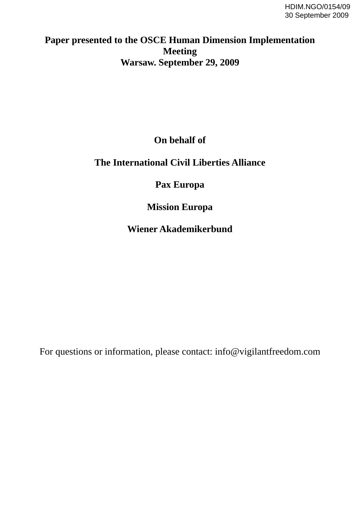# **Paper presented to the OSCE Human Dimension Implementation Meeting Warsaw. September 29, 2009**

# **On behalf of**

### **The International Civil Liberties Alliance**

# **Pax Europa**

# **Mission Europa**

## **Wiener Akademikerbund**

For questions or information, please contact: info@vigilantfreedom.com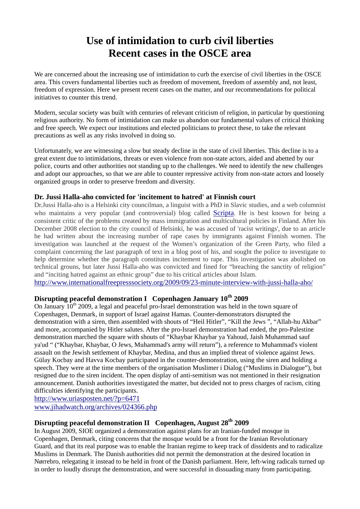# **Use of intimidation to curb civil liberties Recent cases in the OSCE area**

We are concerned about the increasing use of intimidation to curb the exercise of civil liberties in the OSCE area. This covers fundamental liberties such as freedom of movement, freedom of assembly and, not least, freedom of expression. Here we present recent cases on the matter, and our recommendations for political initiatives to counter this trend.

Modern, secular society was built with centuries of relevant criticism of religion, in particular by questioning religious authority. No form of intimidation can make us abandon our fundamental values of critical thinking and free speech. We expect our institutions and elected politicians to protect these, to take the relevant precautions as well as any risks involved in doing so.

Unfortunately, we are witnessing a slow but steady decline in the state of civil liberties. This decline is to a great extent due to intimidations, threats or even violence from non-state actors, aided and abetted by our police, courts and other authorities not standing up to the challenges. We need to identify the new challenges and adopt our approaches, so that we are able to counter repressive activity from non-state actors and loosely organized groups in order to preserve freedom and diversity.

#### **Dr. Jussi Halla-aho convicted for 'incitement to hatred' at Finnish court**

Dr.Jussi Halla-aho is a Helsinki city councilman, a linguist with a PhD in Slavic studies, and a web columnist who maintains a very popular (and controversial) blog called [Scripta.](http://www.halla-aho.com/scripta) He is best known for being a consistent critic of the problems created by mass immigration and multicultural policies in Finland. After his December 2008 election to the city council of Helsinki, he was accused of 'racist writings', due to an article he had written about the increasing number of rape cases by immigrants against Finnish women. The investigation was launched at the request of the Women's organization of the Green Party, who filed a complaint concerning the last paragraph of text in a blog post of his, and sought the police to investigate to help determine whether the paragraph constitutes incitement to rape. This investigation was abolished on technical grouns, but later Jussi Halla-aho was convicted and fined for "breaching the sanctity of religion" and "inciting hatred against an ethnic group" due to his critical articles about Islam.

<http://www.internationalfreepresssociety.org/2009/09/23-minute-interview-with-jussi-halla-aho/>

### **Disrupting peaceful demonstration I Copenhagen January 10th 2009**

On January 10<sup>th</sup> 2009, a legal and peaceful pro-Israel demonstration was held in the town square of Copenhagen, Denmark, in support of Israel against Hamas. Counter-demonstrators disrupted the demonstration with a siren, then assembled with shouts of "Heil Hitler", "Kill the Jews ", "Allah-hu Akbar" and more, accompanied by Hitler salutes. After the pro-Israel demonstration had ended, the pro-Palestine demonstration marched the square with shouts of "Khaybar Khaybar ya Yahoud, Jaish Muhammad sauf ya'ud " ("Khaybar, Khaybar, O Jews, Muhammad's army will return"), a reference to Muhammad's violent assault on the Jewish settlement of Khaybar, Medina, and thus an implied threat of violence against Jews. Gülay Kocbay and Havva Kocbay participated in the counter-demonstration, using the siren and holding a speech. They were at the time members of the organisation Muslimer i Dialog ("Muslims in Dialogue"), but resigned due to the siren incident. The open display of anti-semitism was not mentioned in their resignation announcement. Danish authorities investigated the matter, but decided not to press charges of racism, citing difficulties identifying the participants.

<http://www.uriasposten.net/?p=6471> [www.jihadwatch.org/archives/024366.php](http://www.jihadwatch.org/2009/01/heil-hitler-and-we-must-just-kill-all-those-jews-man----at-copenhagen-pro-jihad-demo.html)

### **Disrupting peaceful demonstration II Copenhagen, August 28th 2009**

In August 2009, SIOE organized a demonstration against plans for an Iranian-funded mosque in Copenhagen, Denmark, citing concerns that the mosque would be a front for the Iranian Revolutionary Guard, and that its real purpose was to enable the Iranian regime to keep track of dissidents and to radicalize Muslims in Denmark. The Danish authorities did not permit the demonstration at the desired location in Nørrebro, relegating it instead to be held in front of the Danish parliament. Here, left-wing radicals turned up in order to loudly disrupt the demonstration, and were successful in dissuading many from participating.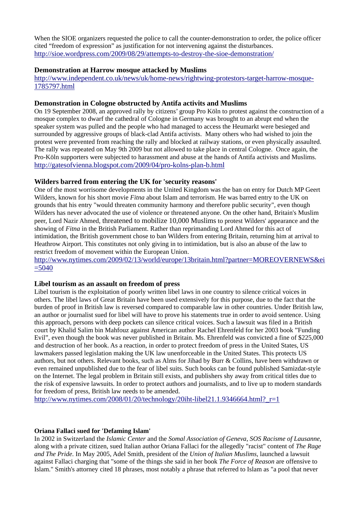When the SIOE organizers requested the police to call the counter-demonstration to order, the police officer cited "freedom of expression" as justification for not intervening against the disturbances. <http://sioe.wordpress.com/2009/08/29/attempts-to-destroy-the-sioe-demonstration/>

#### **Demonstration at Harrow mosque attacked by Muslims**

[http://www.independent.co.uk/news/uk/home-news/rightwing-protestors-target-harrow-mosque-](http://www.independent.co.uk/news/uk/home-news/rightwing-protestors-target-harrow-mosque-1785797.html)[1785797.html](http://www.independent.co.uk/news/uk/home-news/rightwing-protestors-target-harrow-mosque-1785797.html)

#### **Demonstration in Cologne obstructed by Antifa activits and Muslims**

On 19 September 2008, an approved rally by citizens' group Pro Köln to protest against the construction of a mosque complex to dwarf the cathedral of Cologne in Germany was brought to an abrupt end when the speaker system was pulled and the people who had managed to access the Heumarkt were besieged and surrounded by aggressive groups of black-clad Antifa activists. Many others who had wished to join the protest were prevented from reaching the rally and blocked at railway stations, or even physically assaulted. The rally was repeated on May 9th 2009 but not allowed to take place in central Cologne. Once again, the Pro-Köln supporters were subjected to harassment and abuse at the hands of Antifa activists and Muslims. <http://gatesofvienna.blogspot.com/2009/04/pro-kolns-plan-b.html>

#### **Wilders barred from entering the UK for 'security reasons'**

One of the most worrisome developments in the United Kingdom was the ban on entry for Dutch MP Geert Wilders, known for his short movie *Fitna* about Islam and terrorism. He was barred entry to the UK on grounds that his entry "would threaten community harmony and therefore public security", even though Wilders has never advocated the use of violence or threatened anyone. On the other hand, Britain's Muslim peer, Lord Nazir Ahmed, threatened to mobilize 10,000 Muslims to protest Wilders' appearance and the showing of *Fitna* in the British Parliament. Rather than reprimanding Lord Ahmed for this act of intimidation, the British government chose to ban Wilders from entering Britain, returning him at arrival to Heathrow Airport. This constitutes not only giving in to intimidation, but is also an abuse of the law to restrict freedom of movement within the European Union.

#### [http://www.nytimes.com/2009/02/13/world/europe/13britain.html?partner=MOREOVERNEWS&ei](http://www.nytimes.com/2009/02/13/world/europe/13britain.html?partner=MOREOVERNEWS&ei=5040)  $=5040$

#### **Libel tourism as an assault on freedom of press**

Libel tourism is the exploitation of poorly written libel laws in one country to silence critical voices in others. The libel laws of Great Britain have been used extensively for this purpose, due to the fact that the burden of proof in British law is reversed compared to comparable law in other countries. Under British law, an author or journalist sued for libel will have to prove his statements true in order to avoid sentence. Using this approach, persons with deep pockets can silence critical voices. Such a lawsuit was filed in a British court by Khalid Salim bin Mahfouz against American author Rachel Ehrenfeld for her 2003 book "Funding Evil", even though the book was never published in Britain. Ms. Ehrenfeld was convicted a fine of \$225,000 and destruction of her book. As a reaction, in order to protect freedom of press in the United States, US lawmakers passed legislation making the UK law unenforceable in the United States. This protects US authors, but not others. Relevant books, such as Alms for Jihad by Burr & Collins, have been withdrawn or even remained unpublished due to the fear of libel suits. Such books can be found published Samizdat-style on the Internet. The legal problem in Britain still exists, and publishers shy away from critical titles due to the risk of expensive lawsuits. In order to protect authors and journalists, and to live up to modern standards for freedom of press, British law needs to be amended.

http://www.nytimes.com/2008/01/20/technology/20iht-libel21.1.9346664.html? $r=1$ 

#### **Oriana Fallaci sued for 'Defaming Islam'**

In 2002 in Switzerland the *Islamic Center* and the *Somal Association of Geneva*, *SOS Racisme of Lausanne*, along with a private citizen, sued Italian author Oriana Fallaci for the allegedly "racist" content of *The Rage and The Pride*. In May 2005, Adel Smith, president of the *Union of Italian Muslims*, launched a lawsuit against Fallaci charging that "some of the things she said in her book *The Force of Reason* are offensive to Islam." Smith's attorney cited 18 phrases, most notably a phrase that referred to Islam as "a pool that never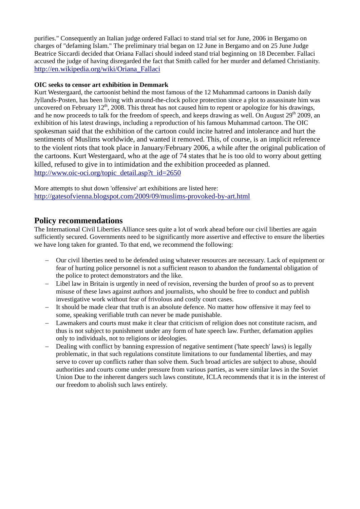purifies." Consequently an Italian judge ordered Fallaci to stand trial set for June, 2006 in Bergamo on charges of "defaming Islam." The preliminary trial began on 12 June in Bergamo and on 25 June Judge Beatrice Siccardi decided that Oriana Fallaci should indeed stand trial beginning on 18 December. Fallaci accused the judge of having disregarded the fact that Smith called for her murder and defamed Christianity. [http://en.wikipedia.org/wiki/Oriana\\_Fallaci](http://en.wikipedia.org/wiki/Oriana_Fallaci)

#### **OIC seeks to censor art exhibition in Demmark**

Kurt Westergaard, the cartoonist behind the most famous of the 12 Muhammad cartoons in Danish daily Jyllands-Posten, has been living with around-the-clock police protection since a plot to assassinate him was uncovered on February  $12<sup>th</sup>$ , 2008. This threat has not caused him to repent or apologize for his drawings, and he now proceeds to talk for the freedom of speech, and keeps drawing as well. On August  $29<sup>th</sup> 2009$ , an exhibition of his latest drawings, including a reproduction of his famous Muhammad cartoon. The OIC spokesman said that the exhibition of the cartoon could incite hatred and intolerance and hurt the sentiments of Muslims worldwide, and wanted it removed. This, of course, is an implicit reference to the violent riots that took place in January/February 2006, a while after the original publication of the cartoons. Kurt Westergaard, who at the age of 74 states that he is too old to worry about getting killed, refused to give in to intimidation and the exhibition proceeded as planned. [http://www.oic-oci.org/topic\\_detail.asp?t\\_id=2650](http://www.oic-oci.org/topic_detail.asp?t_id=2650)

More attempts to shut down 'offensive' art exhibitions are listed here: <http://gatesofvienna.blogspot.com/2009/09/muslims-provoked-by-art.html>

### **Policy recommendations**

The International Civil Liberties Alliance sees quite a lot of work ahead before our civil liberties are again sufficiently secured. Governments need to be significantly more assertive and effective to ensure the liberties we have long taken for granted. To that end, we recommend the following:

- Our civil liberties need to be defended using whatever resources are necessary. Lack of equipment or fear of hurting police personnel is not a sufficient reason to abandon the fundamental obligation of the police to protect demonstrators and the like.
- Libel law in Britain is urgently in need of revision, reversing the burden of proof so as to prevent misuse of these laws against authors and journalists, who should be free to conduct and publish investigative work without fear of frivolous and costly court cases.
- It should be made clear that truth is an absolute defence. No matter how offensive it may feel to some, speaking verifiable truth can never be made punishable.
- Lawmakers and courts must make it clear that criticism of religion does not constitute racism, and thus is not subject to punishment under any form of hate speech law. Further, defamation applies only to individuals, not to religions or ideologies.
- Dealing with conflict by banning expression of negative sentiment ('hate speech' laws) is legally problematic, in that such regulations constitute limitations to our fundamental liberties, and may serve to cover up conflicts rather than solve them. Such broad articles are subject to abuse, should authorities and courts come under pressure from various parties, as were similar laws in the Soviet Union Due to the inherent dangers such laws constitute, ICLA recommends that it is in the interest of our freedom to abolish such laws entirely.